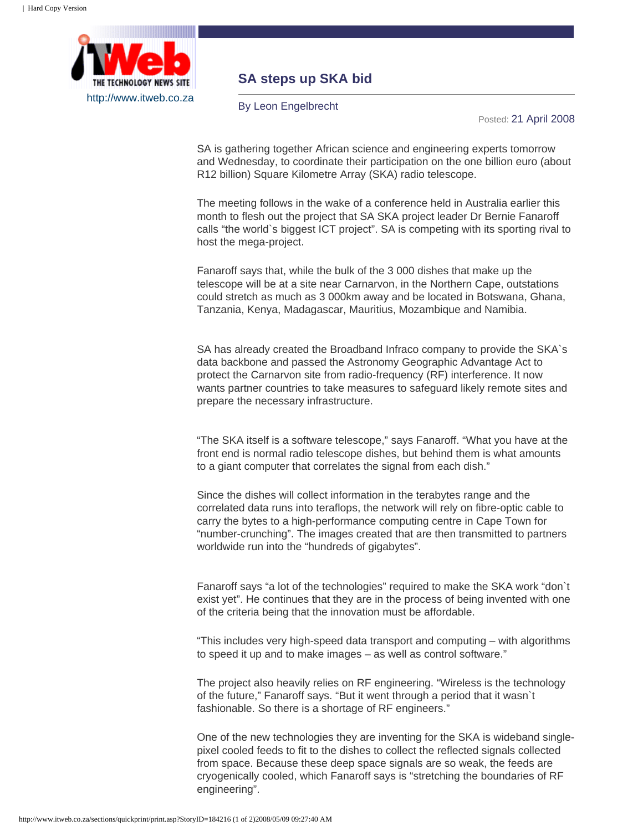

## **SA steps up SKA bid**

By Leon Engelbrecht

Posted: 21 April 2008

SA is gathering together African science and engineering experts tomorrow and Wednesday, to coordinate their participation on the one billion euro (about R12 billion) Square Kilometre Array (SKA) radio telescope.

The meeting follows in the wake of a conference held in Australia earlier this month to flesh out the project that SA SKA project leader Dr Bernie Fanaroff calls "the world`s biggest ICT project". SA is competing with its sporting rival to host the mega-project.

Fanaroff says that, while the bulk of the 3 000 dishes that make up the telescope will be at a site near Carnarvon, in the Northern Cape, outstations could stretch as much as 3 000km away and be located in Botswana, Ghana, Tanzania, Kenya, Madagascar, Mauritius, Mozambique and Namibia.

SA has already created the Broadband Infraco company to provide the SKA`s data backbone and passed the Astronomy Geographic Advantage Act to protect the Carnarvon site from radio-frequency (RF) interference. It now wants partner countries to take measures to safeguard likely remote sites and prepare the necessary infrastructure.

"The SKA itself is a software telescope," says Fanaroff. "What you have at the front end is normal radio telescope dishes, but behind them is what amounts to a giant computer that correlates the signal from each dish."

Since the dishes will collect information in the terabytes range and the correlated data runs into teraflops, the network will rely on fibre-optic cable to carry the bytes to a high-performance computing centre in Cape Town for "number-crunching". The images created that are then transmitted to partners worldwide run into the "hundreds of gigabytes".

Fanaroff says "a lot of the technologies" required to make the SKA work "don`t exist yet". He continues that they are in the process of being invented with one of the criteria being that the innovation must be affordable.

"This includes very high-speed data transport and computing – with algorithms to speed it up and to make images – as well as control software."

The project also heavily relies on RF engineering. "Wireless is the technology of the future," Fanaroff says. "But it went through a period that it wasn`t fashionable. So there is a shortage of RF engineers."

One of the new technologies they are inventing for the SKA is wideband singlepixel cooled feeds to fit to the dishes to collect the reflected signals collected from space. Because these deep space signals are so weak, the feeds are cryogenically cooled, which Fanaroff says is "stretching the boundaries of RF engineering".